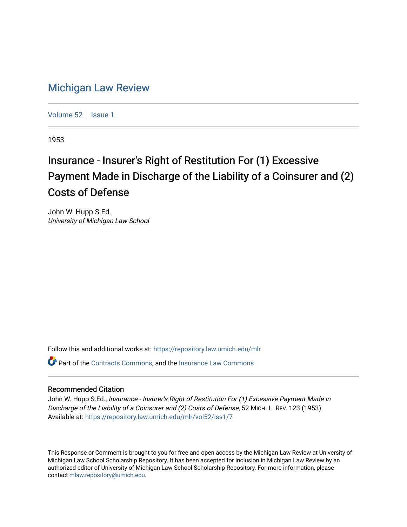## [Michigan Law Review](https://repository.law.umich.edu/mlr)

[Volume 52](https://repository.law.umich.edu/mlr/vol52) | [Issue 1](https://repository.law.umich.edu/mlr/vol52/iss1)

1953

# Insurance - Insurer's Right of Restitution For (1) Excessive Payment Made in Discharge of the Liability of a Coinsurer and (2) Costs of Defense

John W. Hupp S.Ed. University of Michigan Law School

Follow this and additional works at: [https://repository.law.umich.edu/mlr](https://repository.law.umich.edu/mlr?utm_source=repository.law.umich.edu%2Fmlr%2Fvol52%2Fiss1%2F7&utm_medium=PDF&utm_campaign=PDFCoverPages) 

Part of the [Contracts Commons](http://network.bepress.com/hgg/discipline/591?utm_source=repository.law.umich.edu%2Fmlr%2Fvol52%2Fiss1%2F7&utm_medium=PDF&utm_campaign=PDFCoverPages), and the [Insurance Law Commons](http://network.bepress.com/hgg/discipline/607?utm_source=repository.law.umich.edu%2Fmlr%2Fvol52%2Fiss1%2F7&utm_medium=PDF&utm_campaign=PDFCoverPages)

### Recommended Citation

John W. Hupp S.Ed., Insurance - Insurer's Right of Restitution For (1) Excessive Payment Made in Discharge of the Liability of a Coinsurer and (2) Costs of Defense, 52 MICH. L. REV. 123 (1953). Available at: [https://repository.law.umich.edu/mlr/vol52/iss1/7](https://repository.law.umich.edu/mlr/vol52/iss1/7?utm_source=repository.law.umich.edu%2Fmlr%2Fvol52%2Fiss1%2F7&utm_medium=PDF&utm_campaign=PDFCoverPages)

This Response or Comment is brought to you for free and open access by the Michigan Law Review at University of Michigan Law School Scholarship Repository. It has been accepted for inclusion in Michigan Law Review by an authorized editor of University of Michigan Law School Scholarship Repository. For more information, please contact [mlaw.repository@umich.edu](mailto:mlaw.repository@umich.edu).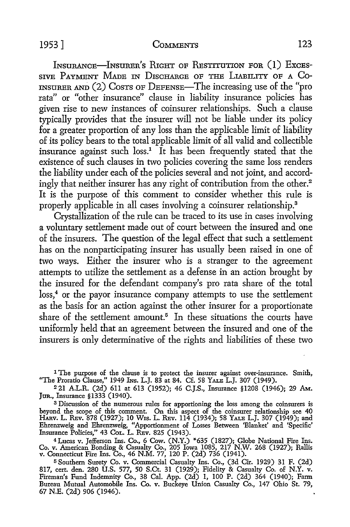#### 1953] COMMENTS 123

INSURANCE-INSURER'S RIGHT OF RESTITUTION FOR (1) EXCES-SIVE PAYMENT MADE IN DISCHARGE OF THE LIABILITY OF A CO-INSURER AND (2) COSTS OF DEFENSE—The increasing use of the "pro rata" or "other insurance" clause in liability insurance policies has given rise to new instances of coinsurer relationships. Such a clause typically provides that the insurer will not be liable under its policy for a greater proportion of any loss than the applicable limit of liability of its policy bears to the total applicable limit of all valid and collectible insurance against such  $loss<sup>1</sup>$  It has been frequently stated that the existence of such clauses in two policies covering the same loss renders the liability under each of the policies several and not joint, and accordingly that neither insurer has any right of contribution from the other.<sup>2</sup> It is the purpose of this comment to consider whether this rule is properly applicable in all cases involving a coinsurer relationship.<sup>3</sup>

Crystallization of the rule can be traced to its use in cases involving a voluntary settlement made out of court between the insured and one of the insurers. The question of the legal effect that such a settlement has on the nonparticipating insurer has usually been raised in one of two ways. Either the insurer who is a stranger to the agreement attempts to utilize the settlement as a defense in an action brought by the insured for the defendant company's pro rata share of the total loss,<sup>4</sup> or the payor insurance company attempts to use the settlement as the basis for an action against the other insurer for a proportionate share of the settlement amount.<sup>5</sup> In these situations the courts have uniformly held that an agreement between the insured and one of the insurers is only determinative of the rights and liabilities of these two

<sup>1</sup> The purpose of the clause is to protect the insurer against over-insurance. Smith, "The Proratio Clause," 1949 Ins. L.J. 83 at 84. Cf. 58 YALE L.J. 307 (1949).

<sup>2</sup>21 A.L.R. (2d) 611 at 613 (1952); 46 C.J.S., Insurance §1208 (1946); 29 AM.. Jun., Insurance §1333 (1940).

3 Discussion of the numerous rules for apportioning the loss among the coinsurers is beyond the scope of this comment. On this aspect of the coinsurer relationship see 40 HARv. L. REv. 878 (1927); 10 W1s. L. REv. 114 (1934); 58 YALE L.J. 307 (1949); and Ehrenzweig and Ehrenzweig, "Apportionment of Losses Between 'Blanket' and 'Specific' Insurance Policies," 43 Cot. L. REv. 825 (1943).

4Lucas v. Jefferson Ins. Co., 6 Cow. (N.Y.) \*635 (1827); Globe National Fire Ins. Co. v. American Bonding & Casualty Co., 205 Iowa 1085, 217 N.W. 268 (1927); Rallis v. Connecticut Fire Ins. Co., 46 N.M. 77, 120 P. (2d) 736 (1941).

<sup>5</sup>Southern Surety Co. v. Commercial Casualty Ins. Co., (3d Cir. 1929) 31 F. (2d) 817, cert. den. 280 U.S. 577, 50 S.Ct. 31 (1929); Fidelity & Casualty Co. of N.Y. v. Fireman's Fund Indemnity Co., 38 Cal. App. (2d) 1, 100 P. (2d) 364 (1940); Farm Bureau Mutual Automobile Ins. Co. v. Buckeye Union Casualty Co., 147 Ohio St. 79, 67 N.E. (2d) 906 (1946).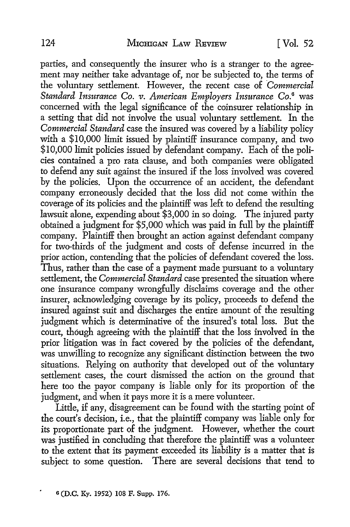parties, and consequently the insurer who is a stranger *to* the agreement may neither take advantage of, nor be subjected to, the terms of the voluntary settlement. However, the recent case of *Commercial Standard Insurance Co. v. American Employers Insurance Co.*<sup>6</sup> was concerned with the legal significance of the coinsurer relationship in a setting that did not involve the usual voluntary settlement. In the *Commercial Standard* case the insured was covered by a liability policy with a \$10,000 limit issued by plaintiff insurance company, and two \$10,000 limit policies issued by defendant company. Each of the policies contained a pro rata clause, and both companies were obligated to defend any suit against the insured if the loss involved was covered by the policies. Upon the occurrence of an accident, the defendant company erroneously decided that the loss did not come within the coverage of its policies and the plaintiff was left to defend the resulting lawsuit alone, expending about \$3,000 in so doing. The injured party obtained a judgment for \$5,000 which was paid in full by the plaintiff company. Plaintiff then brought an action against defendant company for two-thirds of the judgment and costs of defense incurred in the prior action, contending that the policies of defendant covered the loss. Thus, rather than the case of a payment made pursuant to a voluntary settlement, the *Commercial Standard* case presented the situation where one insurance company wrongfully disclaims coverage and the other insurer, acknowledging coverage by its policy, proceeds to defend the insured against suit and discharges the entire amount of the resulting judgment which is determinative of the insured's total loss. But the court, though agreeing with the plaintiff that the loss involved in the prior litigation was in fact covered by the policies of the defendant, was unwilling to recognize any significant distinction between the two situations. Relying on authority that developed out of the voluntary settlement cases, the court dismissed the action on the ground that here *too* the payor company is liable only for its proportion of the judgment, and when it pays more it is a mere volunteer.

Little, if any, disagreement can be found with the starting point of the court's decision, i.e., that the plaintiff company was liable only for its proportionate part of the judgment. However, whether the court was justified in concluding that therefore the plaintiff was a volunteer to the extent that its payment exceeded its liability is a matter that is subject *to* some question. There are several decisions that tend to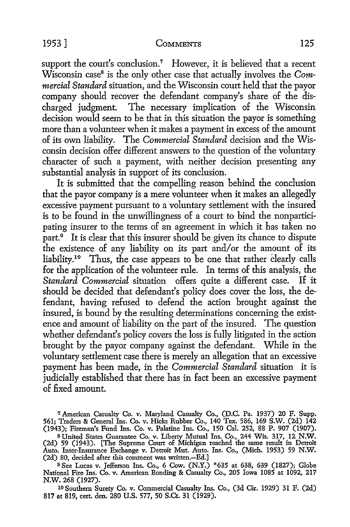#### 1953 ] COMMENTS 125

support the court's conclusion.<sup>7</sup> However, it is believed that a recent Wisconsin case<sup>8</sup> is the only other case that actually involves the *Commercial Standard* situation, and the Wisconsin court held that the payor company should recover the defendant company's share of the discharged judgment. The necessary implication of the Wisconsin decision would seem to be that in this situation the payor is something more than a volunteer when it makes a payment in excess of the amount of its own liability. The *Commercial Standard* decision and the Wisconsin decision offer different answers *to* the question of the voluntary character of such a payment, with neither decision presenting any substantial analysis in support of its conclusion.

It is submitted that the compelling reason behind the conclusion that the payor company is a mere volunteer when it makes an allegedly excessive payment pursuant to a voluntary settlement with the insured is to be found in the unwillingness of a court to bind the nonparticipating insurer *to* the terms of an agreement in which it has taken no part.<sup>9</sup> It is clear that this insurer should be given its chance to dispute the existence of any liability on its part and/or the amount of its liability.<sup>10</sup> Thus, the case appears to be one that rather clearly calls for the application of the volunteer rule. In terms of this analysis, the *Standard Commercial* situation offers quite a different case. If it should be decided that defendant's policy does cover the loss, the defendant, having refused to defend the action brought against the insured, is bound by the resulting determinations concerning the existence and amount of liability on the part of the insured. The question whether defendant's policy covers the loss is fully litigated in the action brought by the payor company against the defendant. While in the voluntary settlement case there is merely an allegation that an excessive payment has been made, in the *Commercial Standard* situation it is judicially established that there has in fact been an excessive payment of fixed amount.

*1* American Casualty Co. v. Maryland Casualty Co., (D.C. Pa. 1937) 20 F. Supp. 561; Traders & General Ins. Co. v. Hicks Rubber Co., 140 Tex. 586, 169 S.W. (2d) 142 (1943); Fireman's Fund Ins. Co. v. Palatine Ins. Co., 150 Cal. 252, 88 P. 907 (1907).

s United States Guarantee Co. v. Liberty Mutual Ins. Co., 244 Wis. 317, 12 N.W. (2d) 59 (1943). [The Supreme Court of Michigan reached the same result in Detroit Auto. Inter-Insurance Exchange v. Detroit Mut. Auto. Ins. Co., (Mich. 1953) 59 N.W. (2d) 80, decided after this comment was written.-Ed.]

<sup>9</sup>See Lucas v. Jefferson Ins. Co., 6 Cow. (N.Y.) \*635 at 638, 639 (1827); Globe National Fire Ins. Co. v. American Bonding & Casualty Co., 205 Iowa 1085 at 1092, 217 N.W. 268 (1927).

10 Southern Surety Co. v. Commercial Casualty Ins. Co., (3d Cir. 1929) 31 F. (2d) 817 at 819, cert. den. 280 U.S. 577, 50 S.Ct. 31 (1929).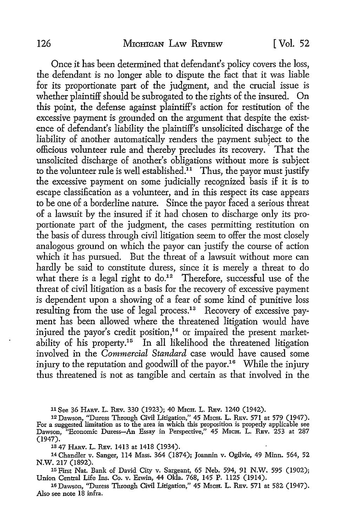Once it has been determined that defendant's policy covers the loss, the defendant is no longer able to dispute the fact that it was liable for its proportionate part of the judgment, and the crucial issue is whether plaintiff should be subrogated to the rights of the insured. On this point, the defense against plaintiff's action for restitution of the excessive payment is grounded on the argument that despite the existence of defendant's liability the plaintiff's unsolicited discharge of the liability of another automatically renders the payment subject to the officious volunteer rule and thereby precludes its recovery. · That the unsolicited discharge of another's obligations without more is subject to the volunteer rule is well established.<sup>11</sup> Thus, the payor must justify the excessive payment on some judicially recognized basis if it is to escape classification as a volunteer, and in this respect its case appears to be one of a borderline nature. Since the payor faced a serious threat of a lawsuit by the insured if it had chosen to discharge only its proportionate part of the judgment, the cases permitting restitution on the basis of duress through civil litigation seem to offer the most closely analogous ground on which the payor can justify the course of action which it has pursued. But the threat of a lawsuit without more can hardly be said to constitute duress, since it is merely a threat to do what there is a legal right to  $do.^{12}$  Therefore, successful use of the threat of civil litigation as a basis for the recovery of excessive payment is dependent upon a showing of a fear of some kind of punitive loss resulting from the use of legal process.<sup>13</sup> Recovery of excessive payment has been allowed where the threatened litigation would have injured the payor's credit position, $14$  or impaired the present marketability of his property.<sup>15</sup> In all likelihood the threatened litigation involved in the *Commercial Standard* case would have caused some injury to the reputation and goodwill of the payor.<sup>16</sup> While the injury thus threatened is not as tangible and certain as that involved in the

11 See 36 HARV. L. REv. 330 (1923); 40 MicH. L. REv. 1240 (1942).

12 Dawson, "Duress Through Civil Litigation," 45 MicH. L. REv. 571 at 579 (1947). For a suggested limitation as to the area in which this proposition is properly applicable see Dawson, "Economic Duress-An Essay in Perspective," 45 MrcH. L. REv. 253 at 287 (1947).

13 47 HARv. L. REv. 1413 at 1418 (1934).

14 Chandler v. Sanger, 114 Mass. 364 (1874); Joannin v. Ogilvie, 49 Minn. 564, 52 N.W. 217 (1892).

15 First Nat. Bank of David City v. Sargeant, 65 Neb. 594, 91 N.W. 595 (1902); Union Central Life Ins. Co. v. Erwin, 44 Okla. 768, 145 P. 1125 (1914).

16 Dawson, "Duress Through Civil Litigation," 45 MicH. L. REv. 571 at 582 (1947). Also see note 18 infra.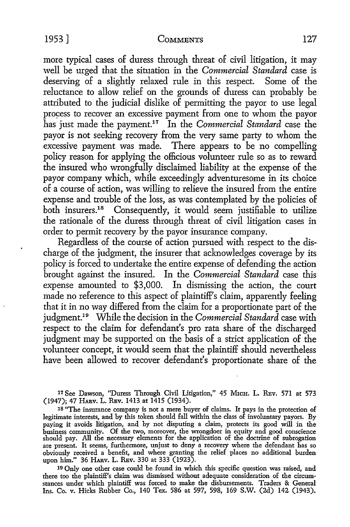#### 1953] COMMENTS 127

more typical cases of duress through threat of civil litigation, it may well be urged that the situation in the *Commercial Standard* case is deserving of a slightly relaxed rule in this respect. Some of the reluctance to allow relief on the grounds of duress can probably be attributed *to* the judicial dislike of permitting the payor to use legal process to recover an excessive payment from one to whom the payor has just made the payment.17 In the *Commercial Standard* case the payor is not seeking recovery from the very same party to whom the excessive payment was made. There appears to be no compelling policy reason for applying the officious volunteer rule so as to reward the insured who wrongfully disclaimed liability at the expense of the payor company which, while exceedingly adventuresome in its choice of a course of action, was willing to relieve the insured from the entire expense and trouble of the loss, as was contemplated by the policies of both insurers.<sup>18</sup> Consequently, it would seem justifiable to utilize the rationale of the duress through threat of civil litigation cases in order to permit recovery by the payor insurance company.

Regardless of the course of action pursued with respect to the discharge of the judgment, the insurer that acknowledges coverage by its policy is forced to undertake the entire expense of defending the action brought against the insured. In the *Commercial Standard* case this expense amounted to \$3,000. In dismissing the action, the court made no reference to this aspect of plaintiff's claim, apparently feeling that it in no way differed from the claim for a proportionate part of the judgment.19 While the decision in the *Commercial Standard* case with respect to the claim for defendant's pro rata share of the discharged judgment may be supported on the basis of a strict application of the volunteer concept, it would seem that the plaintiff should nevertheless have been allowed to recover defendant's proportionate share of the

17 See Dawson, "Duress Through Civil Litigation," 45 Mich. L. Rev. 571 at 573 (1947); 47 HARv. L. REv. 1413 at 1415 (1934).

18 "The insurance company is not a mere buyer of claims. It pays in the protection of legitimate interests, and by this token should fall within the class of involuntary payors. By paying it avoids litigation, and by not disputing a claim, protects its good will in the business community. Of the two, moreover, the wrongdoer in equity and good conscience should pay. All the necessary elements for the application of the doctrine of subrogation are present. It seems, furthermore, unjust to deny a recovery where the defendant has so obviously received a benefit, and where granting the relief places no additional burden upon him." 36 HARv. L. REv. 330 at 333 (1923).

<sup>10</sup>Only one other case could be found in which this specific question was raised, and there too the plaintiff's claim was dismissed without adequate consideration of the circumstances under which plaintiff was forced to make the disbursements. Traders & General Ins. Co. v. Hicks Rubber Co., 140 Tex. 586 at 597, 598, 169 S.W. (2d) 142 (1943).